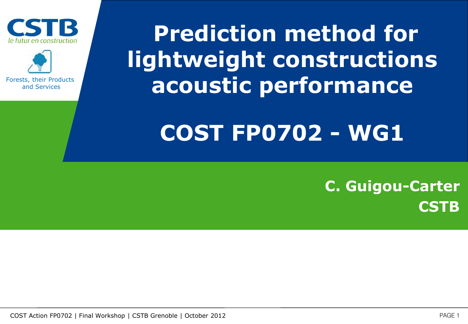



Forests, their Products and Services

# **Prediction method for lightweight constructions acoustic performance**

### **COST FP0702 - WG1**

### **C. Guigou-Carter CSTB**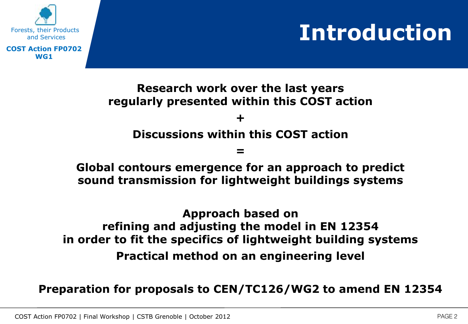## **Introduction**



### **Research work over the last years regularly presented within this COST action + Discussions within this COST action**

### **=**

#### **Global contours emergence for an approach to predict sound transmission for lightweight buildings systems**

### **Approach based on refining and adjusting the model in EN 12354 in order to fit the specifics of lightweight building systems Practical method on an engineering level**

#### **Preparation for proposals to CEN/TC126/WG2 to amend EN 12354**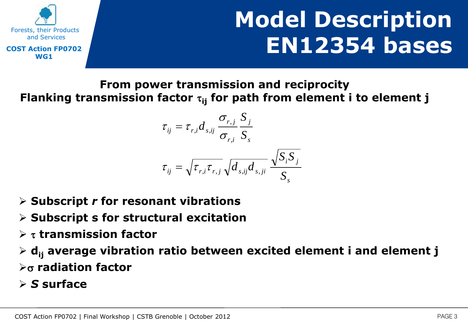



**From power transmission and reciprocity** Flanking transmission factor  $\tau_{ii}$  for path from element i to element j

$$
\tau_{ij} = \tau_{r,i} d_{s,ij} \frac{\sigma_{r,j}}{\sigma_{r,i}} \frac{S_j}{S_s}
$$

$$
\tau_{ij} = \sqrt{\tau_{r,i} \tau_{r,j}} \sqrt{d_{s,ij} d_{s,ji}} \frac{\sqrt{S_i S_j}}{S_s}
$$

- **Subscript** *r* **for resonant vibrations**
- **Subscript s for structural excitation**
- **transmission factor**

 **dij average vibration ratio between excited element i and element j radiation factor**

*S* **surface**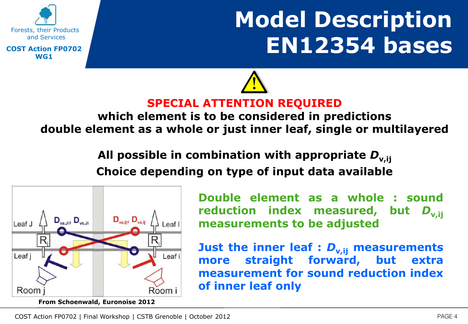

# **Model Description EN12354 bases**



### **which element is to be considered in predictions double element as a whole or just inner leaf, single or multilayered**

**All possible in combination with appropriate** *D***v,ij Choice depending on type of input data available**



**Double element as a whole : sound reduction index measured, but** *D***v,ij measurements to be adjusted**

**Just the inner leaf :** *D***v,ij measurements more straight forward, but extra measurement for sound reduction index of inner leaf only**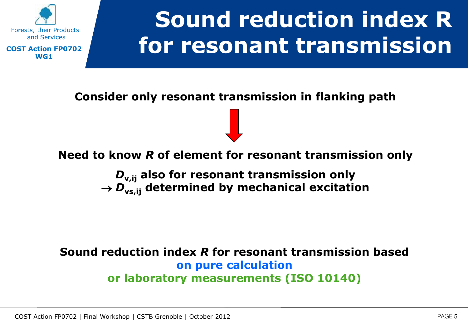

# **Sound reduction index R for resonant transmission**

**Consider only resonant transmission in flanking path** 

#### **Need to know** *R* **of element for resonant transmission only**

*D***v,ij also for resonant transmission only**   $\rightarrow$   $D_{\text{vs,ij}}$  determined by mechanical excitation

#### **Sound reduction index** *R* **for resonant transmission based on pure calculation or laboratory measurements (ISO 10140)**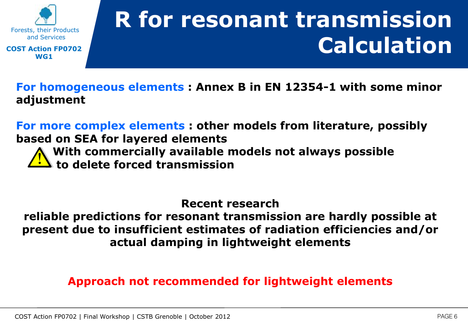

# **R for resonant transmission Calculation**

**For homogeneous elements : Annex B in EN 12354-1 with some minor adjustment**

**For more complex elements : other models from literature, possibly based on SEA for layered elements** 

**With commercially available models not always possible to delete forced transmission** 

**Recent research** 

**reliable predictions for resonant transmission are hardly possible at present due to insufficient estimates of radiation efficiencies and/or actual damping in lightweight elements**

#### **Approach not recommended for lightweight elements**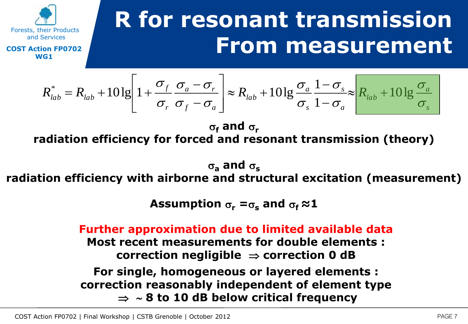

Forests, their Products and Services **COST Action FP0702 WG1**

$$
R_{lab}^* = R_{lab} + 10 \lg \left[ 1 + \frac{\sigma_f}{\sigma_r} \frac{\sigma_a - \sigma_r}{\sigma_f - \sigma_a} \right] \approx R_{lab} + 10 \lg \frac{\sigma_a}{\sigma_s} \frac{1 - \sigma_s}{1 - \sigma_a} \approx \frac{R_{lab} + 10 \lg \frac{\sigma_a}{\sigma_s}}{\sigma_s}
$$

 $\sigma_f$  and  $\sigma_r$ **radiation efficiency for forced and resonant transmission (theory)** 

 $\sigma_a$  **and**  $\sigma_s$ 

### **radiation efficiency with airborne and structural excitation (measurement)**

**Assumption**  $\sigma_{\text{r}} = \sigma_{\text{s}}$  and  $\sigma_{\text{f}} \approx 1$ 

**Further approximation due to limited available data Most recent measurements for double elements : correction negligible**  $\Rightarrow$  correction 0 dB **For single, homogeneous or layered elements : correction reasonably independent of element type 8 to 10 dB below critical frequency**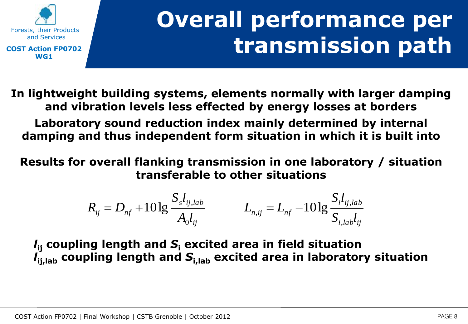

# **Overall performance per transmission path**

**In lightweight building systems, elements normally with larger damping and vibration levels less effected by energy losses at borders Laboratory sound reduction index mainly determined by internal damping and thus independent form situation in which it is built into**

**Results for overall flanking transmission in one laboratory / situation transferable to other situations** 

$$
R_{ij} = D_{nf} + 10 \lg \frac{S_s l_{ij,lab}}{A_0 l_{ij}} \qquad L_{n,ij} = L_{nf} - 10 \lg \frac{S_i l_{ij,lab}}{S_{i,lab} l_{ij}}
$$

*l***ij coupling length and** *S***<sup>i</sup> excited area in field situation**  *l*<sub>ii,lab</sub> coupling length and  $S$ <sub>i,lab</sub> excited area in laboratory situation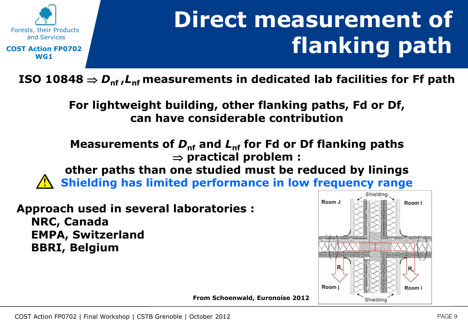

# **Direct measurement of flanking path**

**ISO** 10848  $\Rightarrow$   $D_{\sf nf}$ ,  $L_{\sf nf}$  measurements in dedicated lab facilities for Ff path

**For lightweight building, other flanking paths, Fd or Df, can have considerable contribution**

Measurements of  $D_{\text{nf}}$  and  $L_{\text{nf}}$  for Fd or Df flanking paths **practical problem : other paths than one studied must be reduced by linings Shielding has limited performance in low frequency range**

**Approach used in several laboratories : NRC, Canada EMPA, Switzerland BBRI, Belgium**



**From Schoenwald, Euronoise 2012**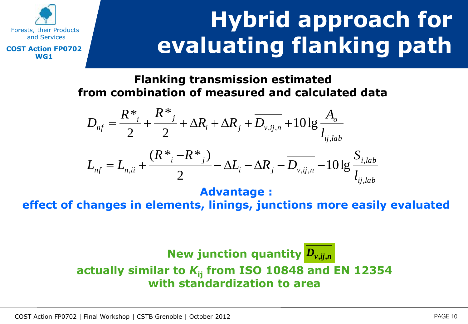

# **Hybrid approach for evaluating flanking path**

**Flanking transmission estimated from combination of measured and calculated data** 

$$
D_{nf} = \frac{R^*_{i}}{2} + \frac{R^*_{j}}{2} + \Delta R_{i} + \Delta R_{j} + \overline{D_{v,ij,n}} + 10 \lg \frac{A_o}{l_{ij,lab}}
$$

$$
L_{nf} = L_{n,ii} + \frac{(R^* - R^*)}{2} - \Delta L_i - \Delta R_j - \overline{D_{v,ij,n}} - 10 \lg \frac{S_{i,lab}}{l_{ij,lab}}
$$

**Advantage :** 

**effect of changes in elements, linings, junctions more easily evaluated**

### **New junction quantity** *Dv***,***ij***,***n***actually similar to** *K***ij from ISO 10848 and EN 12354 with standardization to area**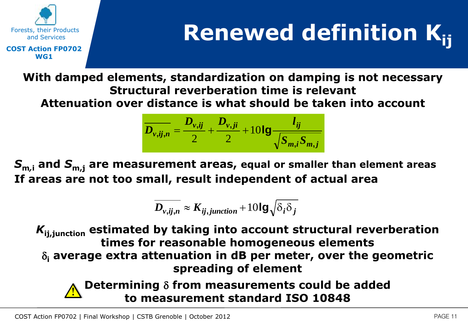

# **Renewed definition Kij**

**With damped elements, standardization on damping is not necessary Structural reverberation time is relevant Attenuation over distance is what should be taken into account** 

$$
\overline{D_{v,ij,n}} = \frac{D_{v,ij}}{2} + \frac{D_{v,ji}}{2} + 10\lg\frac{l_{ij}}{\sqrt{S_{m,i}S_{m,j}}}
$$

*S***m***,***<sup>i</sup> and** *S***m,j are measurement areas, equal or smaller than element areas If areas are not too small, result independent of actual area**

$$
\overline{D_{v,ij,n}} \approx K_{ij,junction} + 10\lg\sqrt{\delta_i\delta_j}
$$

*K***ij,junction estimated by taking into account structural reverberation times for reasonable homogeneous elements**   $\delta_i$  average extra attenuation in dB per meter, over the geometric **spreading of element**

#### **Determining** d **from measurements could be added to measurement standard ISO 10848**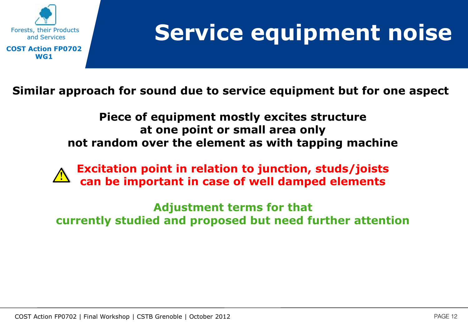

### **Service equipment noise**

**Similar approach for sound due to service equipment but for one aspect** 

**Piece of equipment mostly excites structure at one point or small area only not random over the element as with tapping machine** 

**Excitation point in relation to junction, studs/joists can be important in case of well damped elements** 

**Adjustment terms for that currently studied and proposed but need further attention**